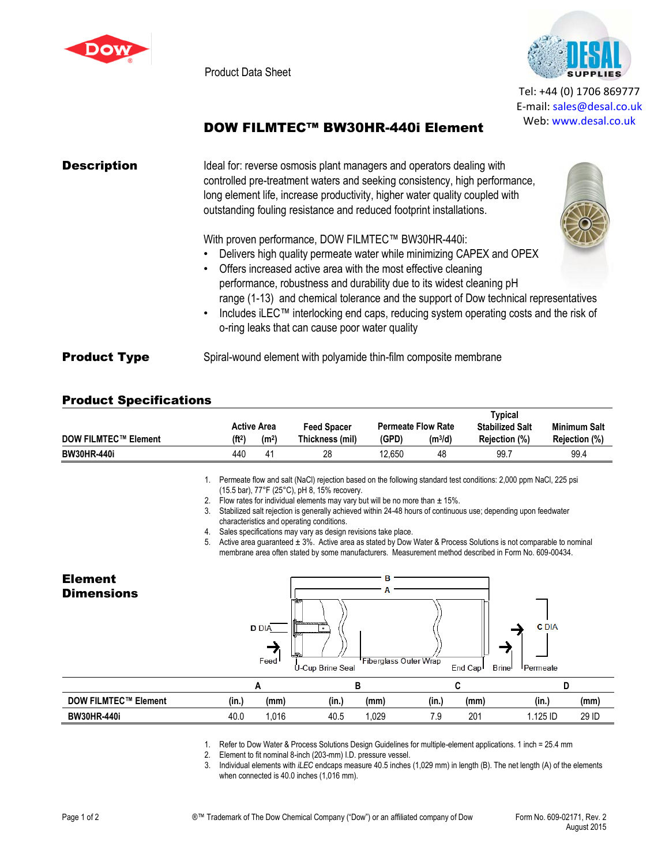

Product Data Sheet



Tel: +44 (0) 1706 869777 E‐mail: sales@desal.co.uk Web: www.desal.co.uk

## DOW FILMTEC™ BW30HR-440i Element

| <b>Description</b>  | Ideal for: reverse osmosis plant managers and operators dealing with<br>controlled pre-treatment waters and seeking consistency, high performance,<br>long element life, increase productivity, higher water quality coupled with<br>outstanding fouling resistance and reduced footprint installations.                                                                                                                                                                                                              |
|---------------------|-----------------------------------------------------------------------------------------------------------------------------------------------------------------------------------------------------------------------------------------------------------------------------------------------------------------------------------------------------------------------------------------------------------------------------------------------------------------------------------------------------------------------|
|                     | With proven performance, DOW FILMTEC™ BW30HR-440i:<br>Delivers high quality permeate water while minimizing CAPEX and OPEX<br>• Offers increased active area with the most effective cleaning<br>performance, robustness and durability due to its widest cleaning pH<br>range (1-13) and chemical tolerance and the support of Dow technical representatives<br>Includes iLEC™ interlocking end caps, reducing system operating costs and the risk of<br>$\bullet$<br>o-ring leaks that can cause poor water quality |
| <b>Product Type</b> | Spiral-wound element with polyamide thin-film composite membrane                                                                                                                                                                                                                                                                                                                                                                                                                                                      |

## Product Specifications

|                             |                    |                    |                    |                           |           | Typical                |               |
|-----------------------------|--------------------|--------------------|--------------------|---------------------------|-----------|------------------------|---------------|
|                             |                    | <b>Active Area</b> | <b>Feed Spacer</b> | <b>Permeate Flow Rate</b> |           | <b>Stabilized Salt</b> | Minimum Salt  |
| <b>DOW FILMTEC™ Element</b> | (ft <sup>2</sup> ) | (m <sup>2</sup> )  | Thickness (mil)    | (GPD)                     | $(m^3/d)$ | Rejection (%)          | Rejection (%) |
| <b>BW30HR-440i</b>          | 440                | 41                 | 28                 | 12.650                    | 48        | 99.1                   | 99.4          |

1. Permeate flow and salt (NaCl) rejection based on the following standard test conditions: 2,000 ppm NaCl, 225 psi (15.5 bar), 77°F (25°C), pH 8, 15% recovery.

2. Flow rates for individual elements may vary but will be no more than  $\pm$  15%.

3. Stabilized salt rejection is generally achieved within 24-48 hours of continuous use; depending upon feedwater characteristics and operating conditions.

4. Sales specifications may vary as design revisions take place.

5. Active area guaranteed ± 3%. Active area as stated by Dow Water & Process Solutions is not comparable to nominal membrane area often stated by some manufacturers. Measurement method described in Form No. 609-00434.



1. Refer to Dow Water & Process Solutions Design Guidelines for multiple-element applications. 1 inch = 25.4 mm

2. Element to fit nominal 8-inch (203-mm) I.D. pressure vessel.

3. Individual elements with *iLEC* endcaps measure 40.5 inches (1,029 mm) in length (B). The net length (A) of the elements when connected is 40.0 inches (1,016 mm).